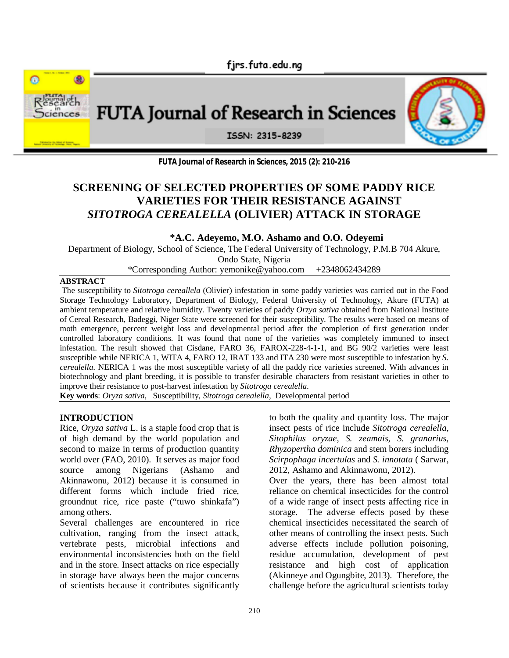firs.futa.edu.ng



**FUTA Journal of Research in Sciences, 2015 (2): 210-216**

# **SCREENING OF SELECTED PROPERTIES OF SOME PADDY RICE VARIETIES FOR THEIR RESISTANCE AGAINST** *SITOTROGA CEREALELLA* **(OLIVIER) ATTACK IN STORAGE**

# **\*A.C. Adeyemo, M.O. Ashamo and O.O. Odeyemi**

Department of Biology, School of Science, The Federal University of Technology, P.M.B 704 Akure,

Ondo State, Nigeria

\*Corresponding Author: yemonike@yahoo.com +2348062434289

#### **ABSTRACT**

The susceptibility to *Sitotroga cereallela* (Olivier) infestation in some paddy varieties was carried out in the Food Storage Technology Laboratory, Department of Biology, Federal University of Technology, Akure (FUTA) at ambient temperature and relative humidity. Twenty varieties of paddy *Orzya sativa* obtained from National Institute of Cereal Research, Badeggi, Niger State were screened for their susceptibility. The results were based on means of moth emergence, percent weight loss and developmental period after the completion of first generation under controlled laboratory conditions. It was found that none of the varieties was completely immuned to insect infestation. The result showed that Cisdane, FARO 36, FAROX-228-4-1-1, and BG 90/2 varieties were least susceptible while NERICA 1, WITA 4, FARO 12, IRAT 133 and ITA 230 were most susceptible to infestation by *S. cerealella*. NERICA 1 was the most susceptible variety of all the paddy rice varieties screened*.* With advances in biotechnology and plant breeding, it is possible to transfer desirable characters from resistant varieties in other to improve their resistance to post-harvest infestation by *Sitotroga cerealella*.

**Key words**: *Oryza sativa*, Susceptibility, *Sitotroga cerealella,* Developmental period

# **INTRODUCTION**

Rice, *Oryza sativa* L. is a staple food crop that is of high demand by the world population and second to maize in terms of production quantity world over (FAO, 2010). It serves as major food source among Nigerians (Ashamo and Akinnawonu, 2012) because it is consumed in different forms which include fried rice, groundnut rice, rice paste ("tuwo shinkafa") among others.

Several challenges are encountered in rice cultivation, ranging from the insect attack, vertebrate pests, microbial infections and environmental inconsistencies both on the field and in the store. Insect attacks on rice especially in storage have always been the major concerns of scientists because it contributes significantly

to both the quality and quantity loss. The major insect pests of rice include *Sitotroga cerealella, Sitophilus oryzae, S. zeamais, S. granarius, Rhyzopertha dominica* and stem borers including *Scirpophaga incertulas* and *S. innotata* ( Sarwar, 2012, Ashamo and Akinnawonu, 2012).

Over the years, there has been almost total reliance on chemical insecticides for the control of a wide range of insect pests affecting rice in storage. The adverse effects posed by these chemical insecticides necessitated the search of other means of controlling the insect pests. Such adverse effects include pollution poisoning, residue accumulation, development of pest resistance and high cost of application (Akinneye and Ogungbite, 2013). Therefore, the challenge before the agricultural scientists today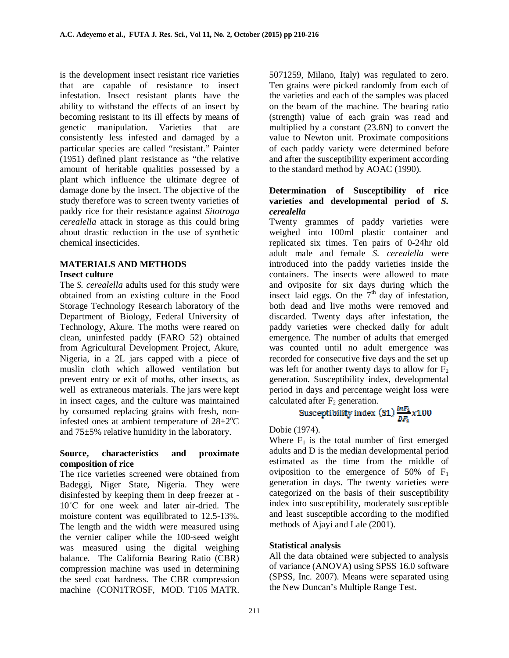is the development insect resistant rice varieties that are capable of resistance to insect infestation. Insect resistant plants have the ability to withstand the effects of an insect by becoming resistant to its ill effects by means of genetic manipulation. Varieties that are consistently less infested and damaged by a particular species are called "resistant." Painter (1951) defined plant resistance as "the relative amount of heritable qualities possessed by a plant which influence the ultimate degree of damage done by the insect. The objective of the study therefore was to screen twenty varieties of paddy rice for their resistance against *Sitotroga cerealella* attack in storage as this could bring about drastic reduction in the use of synthetic chemical insecticides.

## **MATERIALS AND METHODS Insect culture**

The *S. cerealella* adults used for this study were obtained from an existing culture in the Food Storage Technology Research laboratory of the Department of Biology, Federal University of Technology, Akure. The moths were reared on clean, uninfested paddy (FARO 52) obtained from Agricultural Development Project, Akure, Nigeria, in a 2L jars capped with a piece of muslin cloth which allowed ventilation but prevent entry or exit of moths, other insects, as well as extraneous materials. The jars were kept in insect cages, and the culture was maintained by consumed replacing grains with fresh, noninfested ones at ambient temperature of  $28\pm2\degree C$ and 75±5% relative humidity in the laboratory.

## **Source, characteristics and proximate composition of rice**

The rice varieties screened were obtained from Badeggi, Niger State, Nigeria. They were disinfested by keeping them in deep freezer at - 10˚C for one week and later air-dried. The moisture content was equilibrated to 12.5-13%. The length and the width were measured using the vernier caliper while the 100-seed weight was measured using the digital weighing balance. The California Bearing Ratio (CBR) compression machine was used in determining the seed coat hardness. The CBR compression machine (CON1TROSF, MOD. T105 MATR.

5071259, Milano, Italy) was regulated to zero. Ten grains were picked randomly from each of the varieties and each of the samples was placed on the beam of the machine. The bearing ratio (strength) value of each grain was read and multiplied by a constant (23.8N) to convert the value to Newton unit. Proximate compositions of each paddy variety were determined before and after the susceptibility experiment according to the standard method by AOAC (1990).

## **Determination of Susceptibility of rice varieties and developmental period of** *S. cerealella*

Twenty grammes of paddy varieties were weighed into 100ml plastic container and replicated six times. Ten pairs of 0-24hr old adult male and female *S. cerealella* were introduced into the paddy varieties inside the containers. The insects were allowed to mate and oviposite for six days during which the insect laid eggs. On the  $7<sup>th</sup>$  day of infestation, both dead and live moths were removed and discarded. Twenty days after infestation, the paddy varieties were checked daily for adult emergence. The number of adults that emerged was counted until no adult emergence was recorded for consecutive five days and the set up was left for another twenty days to allow for  $F_2$ generation. Susceptibility index, developmental period in days and percentage weight loss were calculated after  $F_2$  generation.

Susceptibility index (S1) 
$$
\frac{ImF_4}{DF_4} \times 100
$$

Dobie (1974).

Where  $F_1$  is the total number of first emerged adults and D is the median developmental period estimated as the time from the middle of oviposition to the emergence of  $50\%$  of  $F_1$ generation in days. The twenty varieties were categorized on the basis of their susceptibility index into susceptibility, moderately susceptible and least susceptible according to the modified methods of Ajayi and Lale (2001).

## **Statistical analysis**

All the data obtained were subjected to analysis of variance (ANOVA) using SPSS 16.0 software (SPSS, Inc. 2007). Means were separated using the New Duncan's Multiple Range Test.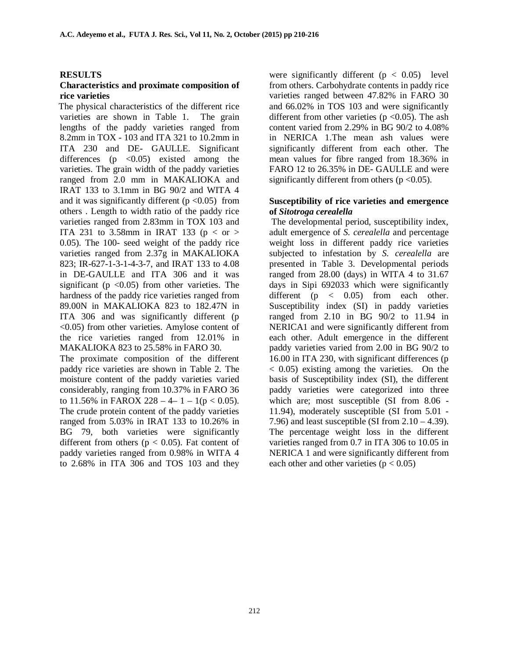#### **RESULTS**

#### **Characteristics and proximate composition of rice varieties**

 The physical characteristics of the different rice varieties are shown in Table 1. The grain lengths of the paddy varieties ranged from 8.2mm in TOX - 103 and ITA 321 to 10.2mm in ITA 230 and DE- GAULLE. Significant differences ( $p \leq 0.05$ ) existed among the varieties. The grain width of the paddy varieties ranged from 2.0 mm in MAKALIOKA and IRAT 133 to 3.1mm in BG 90/2 and WITA 4 and it was significantly different  $(p < 0.05)$  from others . Length to width ratio of the paddy rice varieties ranged from 2.83mm in TOX 103 and ITA 231 to 3.58mm in IRAT 133 ( $p <$  or  $>$ 0.05). The 100- seed weight of the paddy rice varieties ranged from 2.37g in MAKALIOKA 823; IR-627-1-3-1-4-3-7, and IRAT 133 to 4.08 in DE-GAULLE and ITA 306 and it was significant ( $p \le 0.05$ ) from other varieties. The hardness of the paddy rice varieties ranged from 89.00N in MAKALIOKA 823 to 182.47N in ITA 306 and was significantly different (p <0.05) from other varieties. Amylose content of the rice varieties ranged from 12.01% in MAKALIOKA 823 to 25.58% in FARO 30.

The proximate composition of the different paddy rice varieties are shown in Table 2. The moisture content of the paddy varieties varied considerably, ranging from 10.37% in FARO 36 to 11.56% in FAROX 228 – 4– 1 – 1( $p < 0.05$ ). The crude protein content of the paddy varieties ranged from 5.03% in IRAT 133 to 10.26% in BG 79, both varieties were significantly different from others ( $p < 0.05$ ). Fat content of paddy varieties ranged from 0.98% in WITA 4 to 2.68% in ITA 306 and TOS 103 and they

were significantly different ( $p < 0.05$ ) level from others. Carbohydrate contents in paddy rice varieties ranged between 47.82% in FARO 30 and 66.02% in TOS 103 and were significantly different from other varieties ( $p \le 0.05$ ). The ash content varied from 2.29% in BG 90/2 to 4.08% in NERICA 1.The mean ash values were significantly different from each other. The mean values for fibre ranged from 18.36% in FARO 12 to 26.35% in DE- GAULLE and were significantly different from others ( $p \le 0.05$ ).

#### **Susceptibility of rice varieties and emergence of** *Sitotroga cerealella*

 The developmental period, susceptibility index, adult emergence of *S. cerealella* and percentage weight loss in different paddy rice varieties subjected to infestation by *S. cerealella* are presented in Table 3. Developmental periods ranged from 28.00 (days) in WITA 4 to 31.67 days in Sipi 692033 which were significantly different  $(p \lt 0.05)$  from each other. Susceptibility index (SI) in paddy varieties ranged from 2.10 in BG 90/2 to 11.94 in NERICA1 and were significantly different from each other. Adult emergence in the different paddy varieties varied from 2.00 in BG 90/2 to 16.00 in ITA 230, with significant differences (p < 0.05) existing among the varieties. On the basis of Susceptibility index (SI), the different paddy varieties were categorized into three which are; most susceptible (SI from 8.06 - 11.94), moderately susceptible (SI from 5.01 - 7.96) and least susceptible (SI from  $2.10 - 4.39$ ). The percentage weight loss in the different varieties ranged from 0.7 in ITA 306 to 10.05 in NERICA 1 and were significantly different from each other and other varieties  $(p < 0.05)$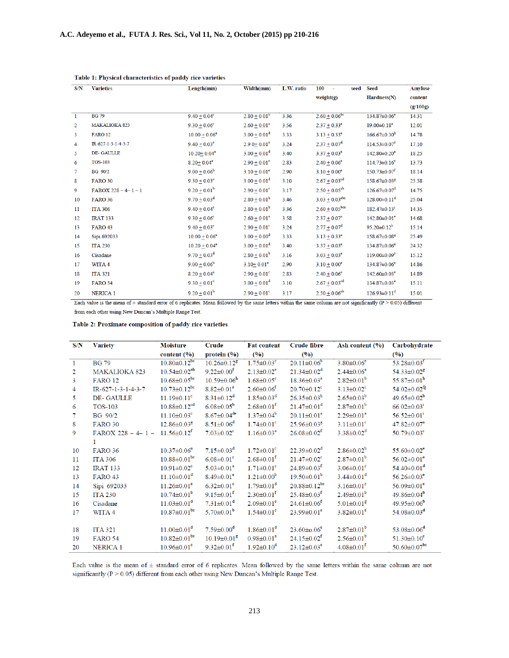| S/N            | <b>Varieties</b>        | Length(mm)                   | Width(mm)                    | L.W. ratio | 100<br>seed<br>÷,              | Seed                           | <b>Amylose</b> |
|----------------|-------------------------|------------------------------|------------------------------|------------|--------------------------------|--------------------------------|----------------|
|                |                         |                              |                              |            | weight(g)                      | $\text{Hardness}(N)$           | content        |
|                |                         |                              |                              |            |                                |                                | (g/100g)       |
| $\overline{1}$ | <b>BG 79</b>            | $9.40 + 0.04^c$              | $2.80 + 0.01^b$              | 3.36       | $2.60 + 0.06^{bc}$             | 134.87±0.06 <sup>e</sup>       | 14.31          |
| 2              | <b>MAKALIOKA 823</b>    | $9.30 + 0.06^{\circ}$        | $2.60 \pm 0.01^a$            | 3.56       | $2.37 \pm 0.33^e$              | 89.00±0.18 <sup>a</sup>        | 12.01          |
| 3              | <b>FARO 12</b>          | $10.00 + 0.06$ <sup>e</sup>  | $3.00 + 0.01^d$              | 3.33       | $3.13 + 0.33^e$                | $166.67 \pm 0.30$ <sup>h</sup> | 14.78          |
| 4              | IR-627-1-3-1-4-3-7      | $9.40 \pm 0.03$ <sup>c</sup> | $2.90 \pm 0.01$ <sup>c</sup> | 3.24       | $2.37 \pm 0.07^{\rm d}$        | $114.53 \pm 0.07$ <sup>c</sup> | 17.10          |
| 5              | DE-GAULLE               | $10.20 + 0.04$ <sup>e</sup>  | $3.00 + 0.01^d$              | 3.40       | $3.37 \pm 0.03^e$              | $142.80 \pm 0.20$ <sup>e</sup> | 18.25          |
| 6              | <b>TOS-103</b>          | $8.20 + 0.04^a$              | $2.90 + 0.01^{\circ}$        | 2.83       | $2.40 + 0.06^a$                | $114.73 \pm 0.16$ <sup>e</sup> | 13.73          |
| 7              | <b>BG</b> 90/2          | $9.00 + 0.06^b$              | $3.10 + 0.01^e$              | 2.90       | $3.10 + 0.00^e$                | $150.73 \pm 0.07$ <sup>f</sup> | 18.14          |
| 8              | <b>FARO 30</b>          | $9.30 + 0.03^{\circ}$        | $3.00 + 0.01^d$              | 3.10       | $2.67 \pm 0.03$ <sup>ed</sup>  | 158.67±0.03 <sup>g</sup>       | 25.58          |
| 9              | $FAROX 228 - 4 - 1 - 1$ | $9.20 \pm 0.01^b$            | $2.90 + 0.01^{\circ}$        | 3.17       | $2.50 \pm 0.05^{ab}$           | $126.67 \pm 0.07$ <sup>d</sup> | 14.75          |
| 10             | <b>FARO 36</b>          | $9.70 + 0.03^d$              | $2.80 \pm 0.01^b$            | 3.46       | $3.03 \pm 0.03$ <sup>ebc</sup> | $128.00 \pm 0.11$ <sup>d</sup> | 25.04          |
| 11             | <b>ITA 306</b>          | $9.40 + 0.04^{\circ}$        | $2.80 \pm 0.01^b$            | 3.36       | $2.60 \pm 0.05^{bca}$          | $182.47 \pm 0.13$ <sup>1</sup> | 14.35          |
| 12             | <b>IRAT 133</b>         | $9.30 + 0.06^{\circ}$        | $2.60 + 0.01^a$              | 3.58       | $2.37 + 0.07^a$                | 142.80±0.01 <sup>e</sup>       | 14.68          |
| 13             | <b>FARO 43</b>          | $9.40 \pm 0.03$ <sup>c</sup> | $2.90 \pm 0.01^{\circ}$      | 3.24       | $2.77 + 0.07^d$                | $95.20 \pm 0.12^b$             | 15.14          |
| 14             | Sipi 692033             | $10.00 + 0.06$ <sup>e</sup>  | $3.00 + 0.00^d$              | 3.33       | $3.13 \pm 0.33^e$              | 158.67±0.08 <sup>g</sup>       | 25.49          |
| 15             | <b>ITA 230</b>          | $10.20 + 0.04$ <sup>e</sup>  | $3.00 \pm 0.01^d$            | 3.40       | $3.37 + 0.03^e$                | 134.87±0.06 <sup>e</sup>       | 24.32          |
| 16             | Cisadane                | $9.70 \pm 0.03^d$            | $2.80 + 0.01^b$              | 3.16       | $3.03 + 0.03^e$                | 119.00±0.09°                   | 15.12          |
| 17             | WITA 4                  | $9.00 + 0.06^b$              | $3.10 + 0.01$ <sup>e</sup>   | 2.90       | $3.10 + 0.00^e$                | 134.87±0.06 <sup>e</sup>       | 14.86          |
| 18             | <b>ITA 321</b>          | $8.20 \pm 0.04^a$            | $2.90 \pm 0.01^{\circ}$      | 2.83       | $2.40 \pm 0.06^a$              | $142.60 \pm 0.03$ <sup>e</sup> | 14.89          |
| 19             | <b>FARO 54</b>          | $9.30 + 0.01^{\circ}$        | $3.00 \pm 0.01^d$            | 3.10       | $2.67 \pm 0.03$ <sup>cd</sup>  | 134.87±0.03 <sup>e</sup>       | 15.11          |
| 20             | NERICA <sub>1</sub>     | $9.20 \pm 0.01^b$            | $2.90 \pm 0.01^{\circ}$      | 3.17       | $2.50 \pm 0.06^{ab}$           | $126.93 \pm 0.11$ <sup>d</sup> | 15.01          |

#### Table 1: Physical characteristics of paddy rice varieties

Each value is the mean of  $\pm$  standard error of 6 replicates. Mean followed by the same letters within the same column are not significantly (P > 0.05) different from each other using New Duncan's Multiple Range Test.

#### Table 2: Proximate composition of paddy rice varieties

| S/N            | <b>Variety</b>                                  | <b>Moisture</b>                | Crude                         | <b>Fat content</b>           | <b>Crude fibre</b>             | Ash content $(\% )$          | Carbohydrate                   |
|----------------|-------------------------------------------------|--------------------------------|-------------------------------|------------------------------|--------------------------------|------------------------------|--------------------------------|
|                |                                                 | content $(\% )$                | protein $(\% )$               | (9/0)                        | (9/0)                          |                              | (9/0)                          |
| $\overline{1}$ | <b>BG 79</b>                                    | $10.80 \pm 0.12$ <sup>bc</sup> | $10.26 \pm 0.12$ <sup>g</sup> | $1.75 \pm 0.03$ <sup>c</sup> | $20.11 \pm 0.06^b$             | $3.80 \pm 0.06$ <sup>e</sup> | $53.28 \pm 0.03$ <sup>r</sup>  |
| $\overline{2}$ | <b>MAKALIOKA 823</b>                            | $10.54 \pm 0.02^{ab}$          | $9.22 \pm 0.00^{\mathrm{f}}$  | $2.13 \pm 0.02^e$            | $21.34 \pm 0.02^d$             | $2.44 \pm 0.06^a$            | $54.33 \pm 0.02$ <sup>g</sup>  |
| $\overline{3}$ | <b>FARO 12</b>                                  | $10.68 \pm 0.05^{bc}$          | $10.59 \pm 0.06^{\rm h}$      | $1.68 \pm 0.05$ <sup>c</sup> | $18.36 \pm 0.03^a$             | $2.82 \pm 0.01^b$            | $55.87 \pm 0.01^{\rm h}$       |
| $\overline{4}$ | $IR - 627 - 1 - 3 - 1 - 4 - 3 - 7$              | $10.73 \pm 0.12$ <sup>bc</sup> | $8.82 \pm 0.01^e$             | $2.60 \pm 0.06$ <sup>f</sup> | $20.70 \pm 0.12$ <sup>c</sup>  | $3.13 \pm 0.02$ <sup>c</sup> | $54.02 \pm 0.02$ <sup>fg</sup> |
| $5^{\circ}$    | <b>DE-GAULLE</b>                                | $11.19 \pm 0.11$ <sup>c</sup>  | $8.31 \pm 0.12^d$             | $1.85 \pm 0.03^d$            | $26.35 \pm 0.03^{\rm h}$       | $2.65 \pm 0.03^b$            | $49.65 \pm 0.02^b$             |
| 6              | <b>TOS-103</b>                                  | $10.88 \pm 0.12$ <sup>cd</sup> | $6.08 \pm 0.05^b$             | $2.68 \pm 0.01$ <sup>f</sup> | $21.47 \pm 0.01^{\text{d}}$    | $2.87 \pm 0.01^b$            | $66.02 \pm 0.03$ <sup>i</sup>  |
| 7              | $BG \t90/2$                                     | $11.10 \pm 0.03$ <sup>c</sup>  | $8.67 \pm 0.04$ <sup>de</sup> | $1.37 \pm 0.04^b$            | $20.11 \pm 0.01^a$             | $2.29 \pm 0.01^a$            | $56.52 \pm 0.01$ <sup>1</sup>  |
| 8              | <b>FARO 30</b>                                  | $12.86 \pm 0.03$ <sup>8</sup>  | $8.51 \pm 0.06^d$             | $1.74 \pm 0.01$ <sup>c</sup> | $25.96 \pm 0.03$ <sup>g</sup>  | $3.11 \pm 0.01$ <sup>c</sup> | $47.82 \pm 0.07^a$             |
| 9              | FAROX 228 - 4-1 - 11.56 $\pm$ 0.12 <sup>f</sup> |                                | $7.03 \pm 0.02$ <sup>c</sup>  | $1.16 \pm 0.03^a$            | $26.08 \pm 0.02$ <sup>f</sup>  | $3.38 \pm 0.02^d$            | $50.79 \pm 0.03$ <sup>c</sup>  |
|                |                                                 |                                |                               |                              |                                |                              |                                |
| 10             | <b>FARO 36</b>                                  | $10.37 \pm 0.06^a$             | $7.15 \pm 0.03^d$             | $1.72 \pm 0.01$ <sup>c</sup> | $22.39 \pm 0.02^d$             | $2.86 \pm 0.02^b$            | $55.60 \pm 0.02^e$             |
| 11             | <b>ITA 306</b>                                  | $10.88 \pm 0.01$ <sup>bc</sup> | $6.08 \pm 0.01$ <sup>c</sup>  | $2.68 \pm 0.01$ <sup>f</sup> | $21.47 \pm 0.02$ <sup>c</sup>  | $2.87 \pm 0.01^b$            | $56.02 \pm 0.01$ <sup>e</sup>  |
| 12             | <b>IRAT 133</b>                                 | $10.91 \pm 0.02$ <sup>c</sup>  | $5.03 \pm 0.01^a$             | $1.71 \pm 0.01$ <sup>c</sup> | $24.89 \pm 0.03$ <sup>f</sup>  | $3.06 \pm 0.01$ <sup>c</sup> | $54.40 \pm 0.01^{\text{d}}$    |
| 13             | <b>FARO 43</b>                                  | $11.10 \pm 0.01^d$             | $8.49 \pm 0.01$ <sup>e</sup>  | $1.21 \pm 0.00^b$            | $19.50 \pm 0.01^{\rm b}$       | $3.44 \pm 0.01^d$            | $56.26 \pm 0.03^e$             |
| 14             | Sipi 692033                                     | $11.26 \pm 0.01$ <sup>e</sup>  | $6.32 \pm 0.01^{\circ}$       | $1.79 \pm 0.01^{\text{d}}$   | $20.88 \pm 0.12$ <sup>bc</sup> | $3.16 \pm 0.01$ <sup>c</sup> | $56.09 \pm 0.01$ <sup>e</sup>  |
| 15             | <b>ITA 230</b>                                  | $10.74 \pm 0.01^b$             | $9.15 \pm 0.01$ <sup>f</sup>  | $2.30 \pm 0.01$ <sup>f</sup> | $25.48 \pm 0.03$ <sup>f</sup>  | $2.49\pm0.01^{b}$            | $49.86 \pm 0.04^b$             |
| 16             | Cisadane                                        | $11.03 \pm 0.01^d$             | $7.31 \pm 0.01^d$             | $2.09 \pm 0.01^e$            | $24.61 \pm 0.06$ <sup>f</sup>  | $5.01 \pm 0.01$ <sup>g</sup> | $49.95 \pm 0.06^{\rm b}$       |
| 17             | WITA 4                                          | $10.87 \pm 0.01$ <sup>bc</sup> | $5.70 \pm 0.01^{\rm b}$       | $1.54 \pm 0.01$ <sup>c</sup> | $23.99 \pm 0.01^e$             | $3.82 \pm 0.01^e$            | $54.08 \pm 0.03^d$             |
|                |                                                 |                                |                               |                              |                                |                              |                                |
| 18             | <b>ITA 321</b>                                  | $11.00 \pm 0.01^d$             | $7.59 \pm 0.00^{\rm d}$       | $1.86 \pm 0.01^d$            | $23.60 \pm 0.06$ <sup>e</sup>  | $2.87 \pm 0.01^{b}$          | $53.08 \pm 0.06^d$             |
| 19             | <b>FARO 54</b>                                  | $10.82 \pm 0.01$ <sup>bc</sup> | $10.19 \pm 0.01^8$            | $0.98 \pm 0.01^a$            | $24.15 \pm 0.02$ <sup>f</sup>  | $2.56 \pm 0.01^{b}$          | $51.30 \pm 0.10^c$             |
| 20             | <b>NERICA 1</b>                                 | $10.96 \pm 0.01$ <sup>c</sup>  | $9.32 \pm 0.01$ <sup>f</sup>  | $1.92 \pm 0.10^4$            | $23.12 \pm 0.03^e$             | $4.08 \pm 0.01$ <sup>f</sup> | 50.60 $\pm$ 0.07 <sup>bc</sup> |

Each value is the mean of ± standard error of 6 replicates. Mean followed by the same letters within the same column are not significantly ( $P > 0.05$ ) different from each other using New Duncan's Multiple Range Test.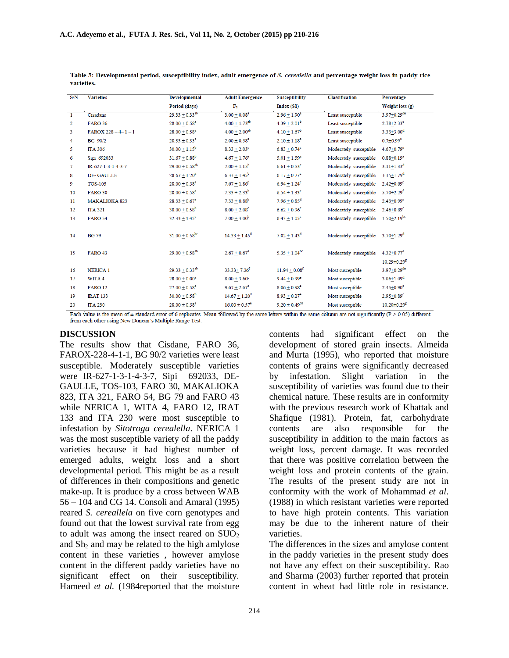| S/N            | <b>Varieties</b>        | <b>Developmental</b>                 | <b>Adult Emergence</b>                                | <b>Susceptibility</b>                                         | <b>Classification</b>   | Percentage                                                      |
|----------------|-------------------------|--------------------------------------|-------------------------------------------------------|---------------------------------------------------------------|-------------------------|-----------------------------------------------------------------|
|                |                         | Period (days)                        | $F_1$                                                 | Index (S1)                                                    |                         | Weight loss (g)                                                 |
| $\mathbf{1}$   | Cisadane                | $29.33 + 0.33^{ab}$                  | $3.00 + 0.083$                                        | $2.96 + 1.90^a$                                               | Least susceptible       | $3.97 + 0.29$ <sup>de</sup>                                     |
| $\overline{2}$ | <b>FARO 36</b>          | $28.00 + 0.58$ <sup>a</sup>          | $4.00 + 1.73^{ab}$                                    | $4.39 + 2.01^b$                                               | Least susceptible       | $2.78 + 2.33$ <sup>c</sup>                                      |
| 3              | $FAROX 228 - 4 - 1 - 1$ | $28.00 + 0.58$ <sup>a</sup>          | $4.00 \pm 2.00^{ab}$                                  | $4.10 + 1.67^b$                                               | Least susceptible       | $3.33 + 3.00d$                                                  |
| 4              | <b>BG</b> 90/2          | $28.33 + 0.33^a$                     | $2.00 + 0.58$ <sup>a</sup>                            | $2.10 \pm 1.18^a$                                             | Least susceptible       | $0.7 + 0.99^a$                                                  |
| 5              | <b>ITA 306</b>          | $30.00 + 1.15^b$                     | $8.33 + 2.03^c$                                       | $6.83 + 0.74^c$                                               | Moderately susceptible  | $4.67 + 0.79$ <sup>e</sup>                                      |
| 6              | Sipi 692033             | $31.67 + 0.88^b$                     | $4.67 \pm 1.76^a$                                     | $5.01 + 1.59^a$                                               | Moderately susceptible  | $0.88 + 0.19a$                                                  |
| 7              | IR-627-1-3-1-4-3-7      | $29.00 + 0.58^{ab}$                  | $7.00 + 1.15^b$                                       | $6.61 + 0.53$ c                                               | Moderately susceptible  | $3.11 + 1.33$ <sup>d</sup>                                      |
| 8              | DE-GAULLE               | $28.67 \pm 1.20^a$                   | $6.33 \pm 1.45^b$                                     | $6.17 + 0.77^c$                                               | Moderately susceptible  | $3.15 + 1.79^d$                                                 |
| 9              | <b>TOS-103</b>          | $28.00 + 0.58$ <sup>a</sup>          | $7.67 + 1.86^b$                                       | $6.94 + 1.24^c$                                               | Moderately susceptible  | $2.42 + 0.69$ <sup>c</sup>                                      |
| 10             | <b>FARO 30</b>          | $28.00 + 0.58$ <sup>a</sup>          | $7.33 \pm 2.33^b$                                     | $6.54 \pm 1.33$ <sup>c</sup>                                  | Moderately susceptible  | $5.70 + 2.29$ <sup>f</sup>                                      |
| 11             | <b>MAKALIOKA 823</b>    | $28.33 + 0.67^a$                     | $7.33 + 0.88^b$                                       | $7.96 + 0.85$ <sup>d</sup>                                    | Moderately susceptible  | $2.43 + 0.99$ <sup>c</sup>                                      |
| 12             | <b>ITA 321</b>          | $30.00 + 0.58^{b}$                   | $8.00 + 2.08^c$                                       | $6.62 \pm 0.96$ <sup>c</sup>                                  | Moderately susceptible  | $2.46 + 0.89$ <sup>c</sup>                                      |
| 13             | <b>FARO 54</b>          | $32.33 + 1.45^c$                     | $7.00 \pm 3.00^b$                                     | $6.43 \pm 1.05^c$                                             | Moderately susceptible  | $1.50 + 2.19$ <sup>bc</sup>                                     |
| 14             | <b>BG79</b>             | $31.00 + 0.58$ <sup>bc</sup>         | $14.33 + 1.45^d$                                      | $7.02 + 1.43^d$                                               | Moderately susceptible  | $3.70 + 1.29$ <sup>d</sup>                                      |
| 15             | <b>FARO 43</b>          | $29.00 + 0.58^{ab}$                  | $2.67 \pm 0.67^a$                                     | $5.35 + 1.04^{bc}$                                            | Moderately susceptible  | $4.32 + 0.77$ <sup>e</sup>                                      |
|                |                         |                                      |                                                       |                                                               |                         | $10.29 + 0.29$ <sup>g</sup>                                     |
| 16             | <b>NERICA1</b>          | $29.33 + 0.33^{ab}$                  | $33.33 + 7.26^{f}$                                    | $11.94 + 0.08^{f}$                                            | Most susceptible        | $3.97 + 0.29$ <sup>de</sup>                                     |
| 17             | WITA 4                  | $28.00 + 0.00^a$                     | $8.00 + 3.60^c$                                       | $9.44 + 0.99$ <sup>e</sup>                                    | Most susceptible        | $3.06 + 1.09d$                                                  |
| 18             | <b>FARO 12</b>          | $27.00 + 0.58$ <sup>a</sup>          | $9.67 \pm 2.67$ <sup>c</sup>                          | $8.06 \pm 0.98$ <sup>e</sup>                                  | Most susceptible        | $2.45 + 0.90^c$                                                 |
| 19             | <b>IRAT 133</b>         | $30.00 + 0.58^b$                     | $14.67 + 1.20^d$                                      | $8.93 + 0.27$ <sup>e</sup>                                    | Most susceptible        | $2.95 + 0.89$ <sup>c</sup>                                      |
| 20<br>- -      | <b>ITA 230</b>          | $28.00 + 0.58$ <sup>a</sup><br>1979. | $16.00 \pm 0.57$ <sup>e</sup><br>0.11<br>$\mathbf{A}$ | $9.20 \pm 0.49$ <sup>cd</sup><br><b>Sept. 30</b><br>$\cdot$ . | Most susceptible<br>. e | $10.20 + 0.29$ <sup>g</sup><br><b><i>B. Providence Con-</i></b> |

Table 3: Developmental period, susceptibility index, adult emergence of S. cerealella and percentage weight loss in paddy rice varieties.

Each value is the mean of  $\pm$  standard error of 6 replicates. Mean followed by the same letters within the same column are not significantly ( $P > 0.05$ ) different from each other using New Duncan's Multiple Range Test.

#### **DISCUSSION**

The results show that Cisdane, FARO 36, FAROX-228-4-1-1, BG 90/2 varieties were least susceptible. Moderately susceptible varieties were IR-627-1-3-1-4-3-7, Sipi 692033, DE-GAULLE, TOS-103, FARO 30, MAKALIOKA 823, ITA 321, FARO 54, BG 79 and FARO 43 while NERICA 1, WITA 4, FARO 12, IRAT 133 and ITA 230 were most susceptible to infestation by *Sitotroga cerealella*. NERICA 1 was the most susceptible variety of all the paddy varieties because it had highest number of emerged adults, weight loss and a short developmental period. This might be as a result of differences in their compositions and genetic make-up. It is produce by a cross between WAB 56 – 104 and CG 14. Consoli and Amaral (1995) reared *S. cereallela* on five corn genotypes and found out that the lowest survival rate from egg to adult was among the insect reared on  $\text{SIO}_2$ and  $Sh<sub>2</sub>$  and may be related to the high amlylose content in these varieties , however amylose content in the different paddy varieties have no significant effect on their susceptibility. Hameed *et al.* (1984reported that the moisture

contents had significant effect on the development of stored grain insects. Almeida and Murta (1995), who reported that moisture contents of grains were significantly decreased by infestation. Slight variation in the susceptibility of varieties was found due to their chemical nature. These results are in conformity with the previous research work of Khattak and Shafique (1981). Protein, fat, carbohydrate contents are also responsible for the susceptibility in addition to the main factors as weight loss, percent damage. It was recorded that there was positive correlation between the weight loss and protein contents of the grain. The results of the present study are not in conformity with the work of Mohammad *et al*. (1988) in which resistant varieties were reported to have high protein contents. This variation may be due to the inherent nature of their varieties.

The differences in the sizes and amylose content in the paddy varieties in the present study does not have any effect on their susceptibility. Rao and Sharma (2003) further reported that protein content in wheat had little role in resistance.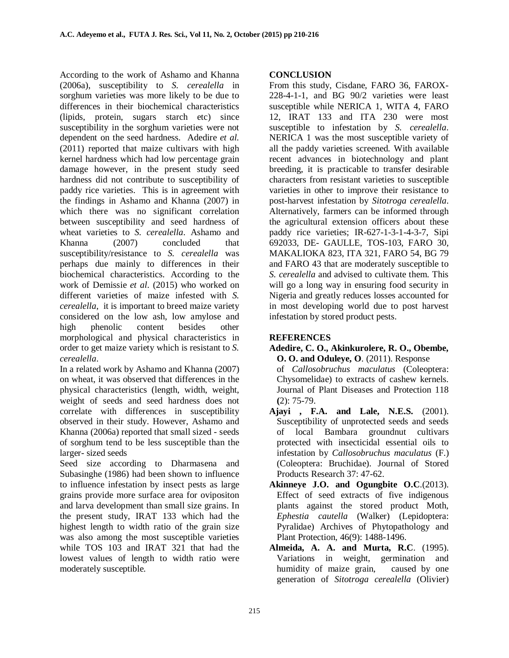According to the work of Ashamo and Khanna (2006a), susceptibility to *S. cerealella* in sorghum varieties was more likely to be due to differences in their biochemical characteristics (lipids, protein, sugars starch etc) since susceptibility in the sorghum varieties were not dependent on the seed hardness. Adedire *et al.* (2011) reported that maize cultivars with high kernel hardness which had low percentage grain damage however, in the present study seed hardness did not contribute to susceptibility of paddy rice varieties. This is in agreement with the findings in Ashamo and Khanna (2007) in which there was no significant correlation between susceptibility and seed hardness of wheat varieties to *S. cerealella*. Ashamo and Khanna (2007) concluded that susceptibility/resistance to *S. cerealella* was perhaps due mainly to differences in their biochemical characteristics. According to the work of Demissie *et al*. (2015) who worked on different varieties of maize infested with *S. cerealella*, it is important to breed maize variety considered on the low ash, low amylose and high phenolic content besides other morphological and physical characteristics in order to get maize variety which is resistant to *S. cerealella*.

In a related work by Ashamo and Khanna (2007) on wheat, it was observed that differences in the physical characteristics (length, width, weight, weight of seeds and seed hardness does not correlate with differences in susceptibility observed in their study. However, Ashamo and Khanna (2006a) reported that small sized - seeds of sorghum tend to be less susceptible than the larger- sized seeds

Seed size according to Dharmasena and Subasinghe (1986) had been shown to influence to influence infestation by insect pests as large grains provide more surface area for ovipositon and larva development than small size grains. In the present study, IRAT 133 which had the highest length to width ratio of the grain size was also among the most susceptible varieties while TOS 103 and IRAT 321 that had the lowest values of length to width ratio were moderately susceptible.

#### **CONCLUSION**

From this study, Cisdane, FARO 36, FAROX-228-4-1-1, and BG 90/2 varieties were least susceptible while NERICA 1, WITA 4, FARO 12, IRAT 133 and ITA 230 were most susceptible to infestation by *S. cerealella*. NERICA 1 was the most susceptible variety of all the paddy varieties screened*.* With available recent advances in biotechnology and plant breeding, it is practicable to transfer desirable characters from resistant varieties to susceptible varieties in other to improve their resistance to post-harvest infestation by *Sitotroga cerealella*. Alternatively, farmers can be informed through the agricultural extension officers about these paddy rice varieties; IR-627-1-3-1-4-3-7, Sipi 692033, DE- GAULLE, TOS-103, FARO 30, MAKALIOKA 823, ITA 321, FARO 54, BG 79 and FARO 43 that are moderately susceptible to *S. cerealella* and advised to cultivate them. This will go a long way in ensuring food security in Nigeria and greatly reduces losses accounted for in most developing world due to post harvest infestation by stored product pests.

## **REFERENCES**

- **Adedire, C. O., Akinkurolere, R. O., Obembe, O. O. and Oduleye, O**. (2011). Response of *Callosobruchus maculatus* (Coleoptera: Chysomelidae) to extracts of cashew kernels. Journal of Plant Diseases and Protection 118
- **(**2): 75-79. **Ajayi , F.A. and Lale, N.E.S.** (2001). Susceptibility of unprotected seeds and seeds of local Bambara groundnut cultivars protected with insecticidal essential oils to infestation by *Callosobruchus maculatus* (F.) (Coleoptera: Bruchidae). Journal of Stored Products Research 37: 47-62.
- **Akinneye J.O. and Ogungbite O.C**.(2013). Effect of seed extracts of five indigenous plants against the stored product Moth, *Ephestia cautella* (Walker) (Lepidoptera: Pyralidae) Archives of Phytopathology and Plant Protection, 46(9): 1488-1496.
- **Almeida, A. A. and Murta, R.C**. (1995). Variations in weight, germination and humidity of maize grain, caused by one generation of *Sitotroga cerealella* (Olivier)